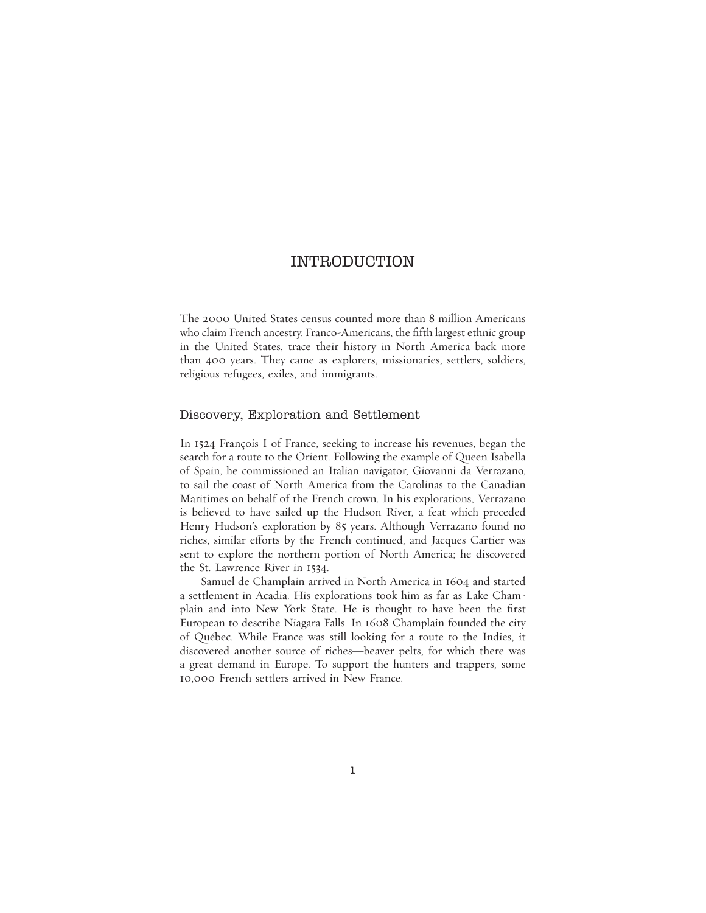# INTRODUCTION

The 2000 United States census counted more than 8 million Americans who claim French ancestry. Franco-Americans, the fifth largest ethnic group in the United States, trace their history in North America back more than 400 years. They came as explorers, missionaries, settlers, soldiers, religious refugees, exiles, and immigrants.

#### Discovery, Exploration and Settlement

In 1524 François I of France, seeking to increase his revenues, began the search for a route to the Orient. Following the example of Queen Isabella of Spain, he commissioned an Italian navigator, Giovanni da Verrazano, to sail the coast of North America from the Carolinas to the Canadian Maritimes on behalf of the French crown. In his explorations, Verrazano is believed to have sailed up the Hudson River, a feat which preceded Henry Hudson's exploration by 85 years. Although Verrazano found no riches, similar efforts by the French continued, and Jacques Cartier was sent to explore the northern portion of North America; he discovered the St. Lawrence River in 1534.

Samuel de Champlain arrived in North America in 1604 and started a settlement in Acadia. His explorations took him as far as Lake Champlain and into New York State. He is thought to have been the first European to describe Niagara Falls. In 1608 Champlain founded the city of Québec. While France was still looking for a route to the Indies, it discovered another source of riches—beaver pelts, for which there was a great demand in Europe. To support the hunters and trappers, some 10,000 French settlers arrived in New France.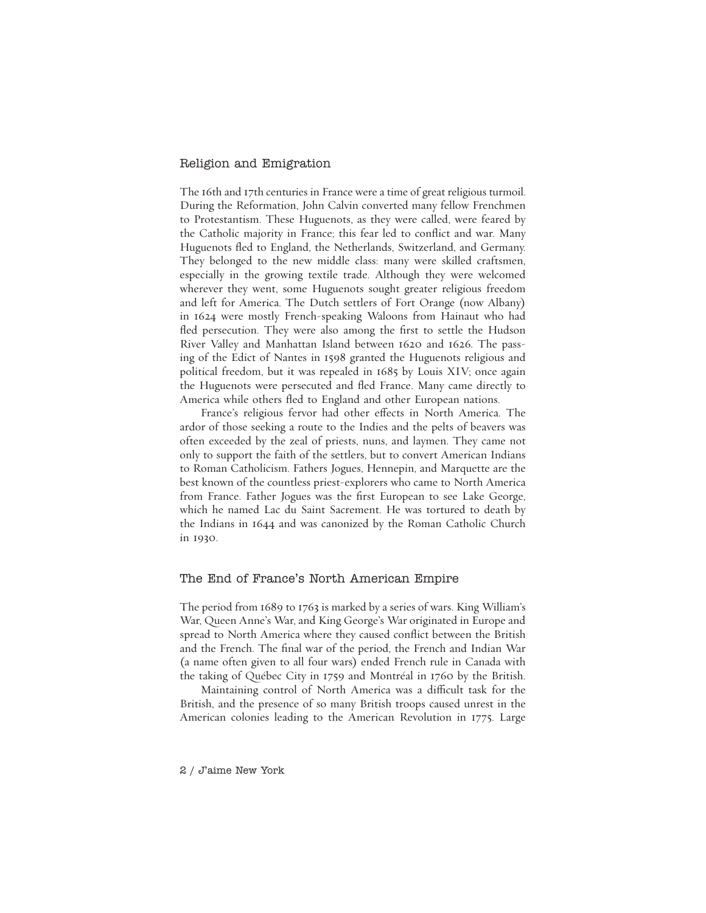## Religion and Emigration

The 16th and 17th centuries in France were a time of great religious turmoil. During the Reformation, John Calvin converted many fellow Frenchmen to Protestantism. These Huguenots, as they were called, were feared by the Catholic majority in France; this fear led to conflict and war. Many Huguenots fled to England, the Netherlands, Switzerland, and Germany. They belonged to the new middle class: many were skilled craftsmen, especially in the growing textile trade. Although they were welcomed wherever they went, some Huguenots sought greater religious freedom and left for America. The Dutch settlers of Fort Orange (now Albany) in 1624 were mostly French-speaking Waloons from Hainaut who had fled persecution. They were also among the first to settle the Hudson River Valley and Manhattan Island between 1620 and 1626. The passing of the Edict of Nantes in 1598 granted the Huguenots religious and political freedom, but it was repealed in 1685 by Louis XIV; once again the Huguenots were persecuted and fled France. Many came directly to America while others fled to England and other European nations.

France's religious fervor had other effects in North America. The ardor of those seeking a route to the Indies and the pelts of beavers was often exceeded by the zeal of priests, nuns, and laymen. They came not only to support the faith of the settlers, but to convert American Indians to Roman Catholicism. Fathers Jogues, Hennepin, and Marquette are the best known of the countless priest-explorers who came to North America from France. Father Jogues was the first European to see Lake George, which he named Lac du Saint Sacrement. He was tortured to death by the Indians in 1644 and was canonized by the Roman Catholic Church in 1930.

## The End of France's North American Empire

The period from 1689 to 1763 is marked by a series of wars. King William's War, Queen Anne's War, and King George's War originated in Europe and spread to North America where they caused conflict between the British and the French. The final war of the period, the French and Indian War (a name often given to all four wars) ended French rule in Canada with the taking of Québec City in 1759 and Montréal in 1760 by the British.

Maintaining control of North America was a difficult task for the British, and the presence of so many British troops caused unrest in the American colonies leading to the American Revolution in 1775. Large